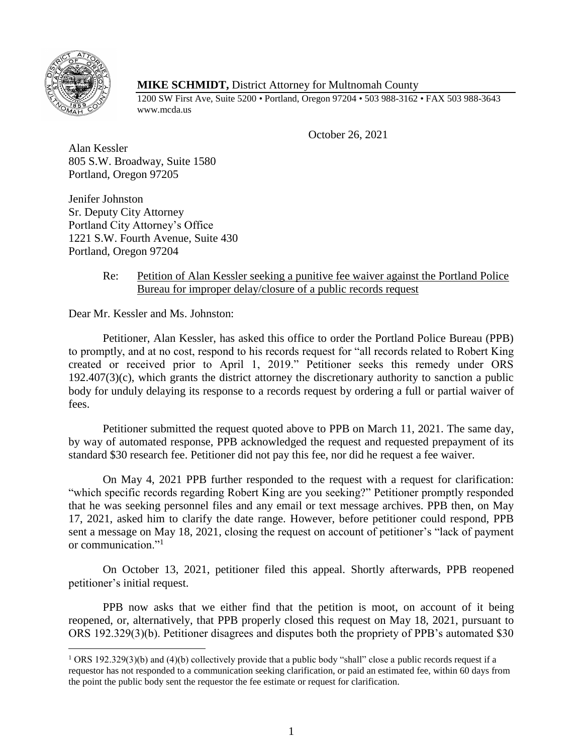

 $\overline{a}$ 

# **MIKE SCHMIDT,** District Attorney for Multnomah County

1200 SW First Ave, Suite 5200 • Portland, Oregon 97204 • 503 988-3162 • FAX 503 988-3643 www.mcda.us

October 26, 2021

Alan Kessler 805 S.W. Broadway, Suite 1580 Portland, Oregon 97205

Jenifer Johnston Sr. Deputy City Attorney Portland City Attorney's Office 1221 S.W. Fourth Avenue, Suite 430 Portland, Oregon 97204

# Re: Petition of Alan Kessler seeking a punitive fee waiver against the Portland Police Bureau for improper delay/closure of a public records request

Dear Mr. Kessler and Ms. Johnston:

Petitioner, Alan Kessler, has asked this office to order the Portland Police Bureau (PPB) to promptly, and at no cost, respond to his records request for "all records related to Robert King created or received prior to April 1, 2019." Petitioner seeks this remedy under ORS  $192.407(3)(c)$ , which grants the district attorney the discretionary authority to sanction a public body for unduly delaying its response to a records request by ordering a full or partial waiver of fees.

Petitioner submitted the request quoted above to PPB on March 11, 2021. The same day, by way of automated response, PPB acknowledged the request and requested prepayment of its standard \$30 research fee. Petitioner did not pay this fee, nor did he request a fee waiver.

On May 4, 2021 PPB further responded to the request with a request for clarification: "which specific records regarding Robert King are you seeking?" Petitioner promptly responded that he was seeking personnel files and any email or text message archives. PPB then, on May 17, 2021, asked him to clarify the date range. However, before petitioner could respond, PPB sent a message on May 18, 2021, closing the request on account of petitioner's "lack of payment or communication."<sup>1</sup>

On October 13, 2021, petitioner filed this appeal. Shortly afterwards, PPB reopened petitioner's initial request.

PPB now asks that we either find that the petition is moot, on account of it being reopened, or, alternatively, that PPB properly closed this request on May 18, 2021, pursuant to ORS 192.329(3)(b). Petitioner disagrees and disputes both the propriety of PPB's automated \$30

<sup>&</sup>lt;sup>1</sup> ORS 192.329(3)(b) and (4)(b) collectively provide that a public body "shall" close a public records request if a requestor has not responded to a communication seeking clarification, or paid an estimated fee, within 60 days from the point the public body sent the requestor the fee estimate or request for clarification.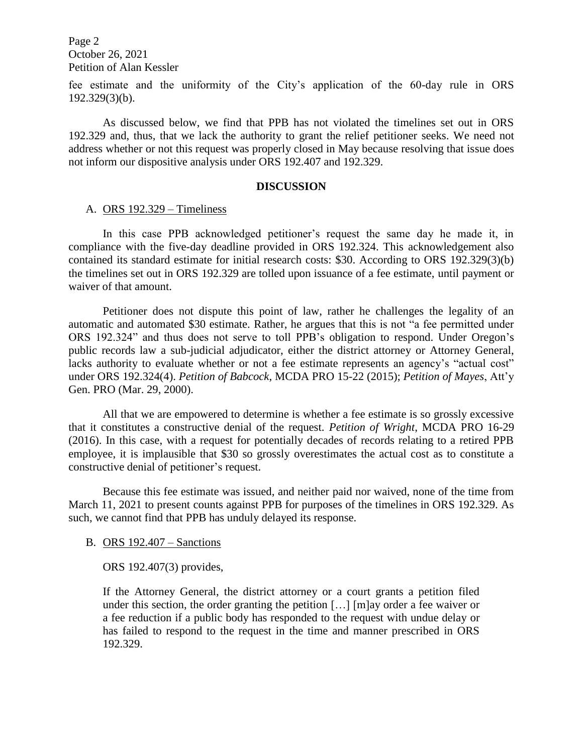Page 2 October 26, 2021 Petition of Alan Kessler

fee estimate and the uniformity of the City's application of the 60-day rule in ORS 192.329(3)(b).

As discussed below, we find that PPB has not violated the timelines set out in ORS 192.329 and, thus, that we lack the authority to grant the relief petitioner seeks. We need not address whether or not this request was properly closed in May because resolving that issue does not inform our dispositive analysis under ORS 192.407 and 192.329.

#### **DISCUSSION**

#### A. ORS 192.329 – Timeliness

In this case PPB acknowledged petitioner's request the same day he made it, in compliance with the five-day deadline provided in ORS 192.324. This acknowledgement also contained its standard estimate for initial research costs: \$30. According to ORS 192.329(3)(b) the timelines set out in ORS 192.329 are tolled upon issuance of a fee estimate, until payment or waiver of that amount.

Petitioner does not dispute this point of law, rather he challenges the legality of an automatic and automated \$30 estimate. Rather, he argues that this is not "a fee permitted under ORS 192.324" and thus does not serve to toll PPB's obligation to respond. Under Oregon's public records law a sub-judicial adjudicator, either the district attorney or Attorney General, lacks authority to evaluate whether or not a fee estimate represents an agency's "actual cost" under ORS 192.324(4). *Petition of Babcock*, MCDA PRO 15-22 (2015); *Petition of Mayes*, Att'y Gen. PRO (Mar. 29, 2000).

All that we are empowered to determine is whether a fee estimate is so grossly excessive that it constitutes a constructive denial of the request. *Petition of Wright*, MCDA PRO 16-29 (2016). In this case, with a request for potentially decades of records relating to a retired PPB employee, it is implausible that \$30 so grossly overestimates the actual cost as to constitute a constructive denial of petitioner's request.

Because this fee estimate was issued, and neither paid nor waived, none of the time from March 11, 2021 to present counts against PPB for purposes of the timelines in ORS 192.329. As such, we cannot find that PPB has unduly delayed its response.

### B. ORS 192.407 – Sanctions

### ORS 192.407(3) provides,

If the Attorney General, the district attorney or a court grants a petition filed under this section, the order granting the petition […] [m]ay order a fee waiver or a fee reduction if a public body has responded to the request with undue delay or has failed to respond to the request in the time and manner prescribed in ORS 192.329.